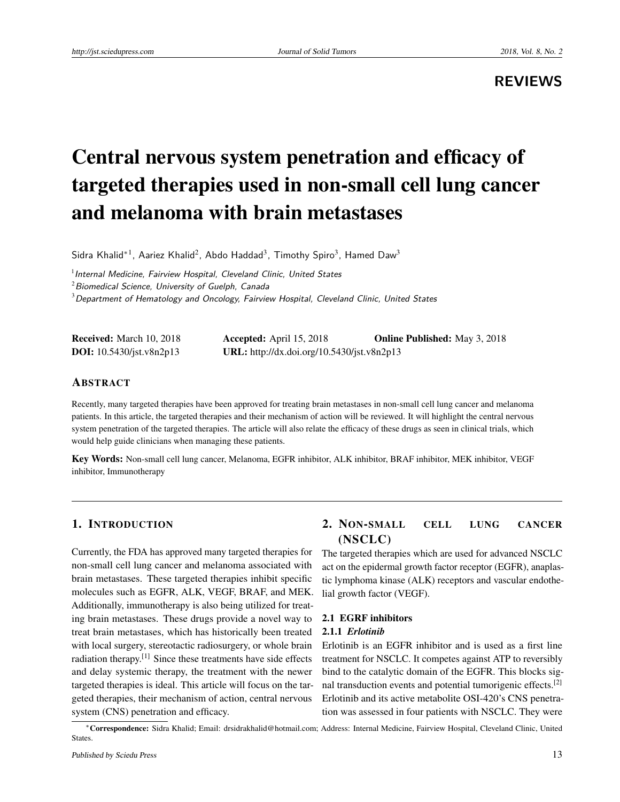**REVIEWS**

# Central nervous system penetration and efficacy of targeted therapies used in non-small cell lung cancer and melanoma with brain metastases

Sidra Khalid<sup>\*1</sup>, Aariez Khalid<sup>2</sup>, Abdo Haddad<sup>3</sup>, Timothy Spiro<sup>3</sup>, Hamed Daw<sup>3</sup>

 $<sup>1</sup>$ Internal Medicine, Fairview Hospital, Cleveland Clinic, United States</sup>

 $2$ Biomedical Science, University of Guelph, Canada

 $3$  Department of Hematology and Oncology, Fairview Hospital, Cleveland Clinic, United States

| <b>Received:</b> March 10, 2018   | Accepted: April $15, 2018$                 | <b>Online Published:</b> May 3, 2018 |
|-----------------------------------|--------------------------------------------|--------------------------------------|
| <b>DOI:</b> $10.5430/jst.v8n2p13$ | URL: http://dx.doi.org/10.5430/jst.v8n2p13 |                                      |

# ABSTRACT

Recently, many targeted therapies have been approved for treating brain metastases in non-small cell lung cancer and melanoma patients. In this article, the targeted therapies and their mechanism of action will be reviewed. It will highlight the central nervous system penetration of the targeted therapies. The article will also relate the efficacy of these drugs as seen in clinical trials, which would help guide clinicians when managing these patients.

Key Words: Non-small cell lung cancer, Melanoma, EGFR inhibitor, ALK inhibitor, BRAF inhibitor, MEK inhibitor, VEGF inhibitor, Immunotherapy

## 1. INTRODUCTION

Currently, the FDA has approved many targeted therapies for non-small cell lung cancer and melanoma associated with brain metastases. These targeted therapies inhibit specific molecules such as EGFR, ALK, VEGF, BRAF, and MEK. Additionally, immunotherapy is also being utilized for treating brain metastases. These drugs provide a novel way to treat brain metastases, which has historically been treated with local surgery, stereotactic radiosurgery, or whole brain radiation therapy.[\[1\]](#page-5-0) Since these treatments have side effects and delay systemic therapy, the treatment with the newer targeted therapies is ideal. This article will focus on the targeted therapies, their mechanism of action, central nervous system (CNS) penetration and efficacy.

# 2. NON-SMALL CELL LUNG CANCER (NSCLC)

The targeted therapies which are used for advanced NSCLC act on the epidermal growth factor receptor (EGFR), anaplastic lymphoma kinase (ALK) receptors and vascular endothelial growth factor (VEGF).

# 2.1 EGRF inhibitors

# 2.1.1 *Erlotinib*

Erlotinib is an EGFR inhibitor and is used as a first line treatment for NSCLC. It competes against ATP to reversibly bind to the catalytic domain of the EGFR. This blocks signal transduction events and potential tumorigenic effects.[\[2\]](#page-5-1) Erlotinib and its active metabolite OSI-420's CNS penetration was assessed in four patients with NSCLC. They were

<sup>∗</sup>Correspondence: Sidra Khalid; Email: drsidrakhalid@hotmail.com; Address: Internal Medicine, Fairview Hospital, Cleveland Clinic, United States.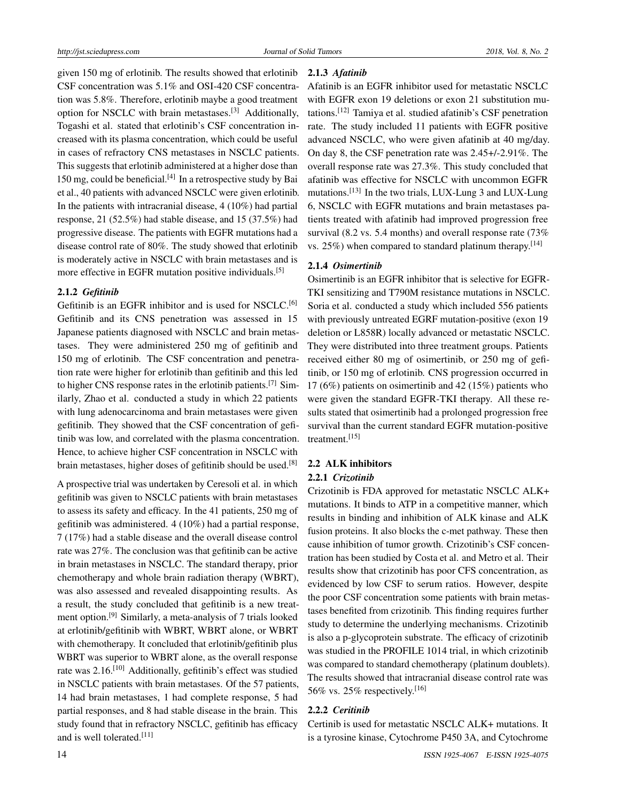given 150 mg of erlotinib. The results showed that erlotinib CSF concentration was 5.1% and OSI-420 CSF concentration was 5.8%. Therefore, erlotinib maybe a good treatment option for NSCLC with brain metastases.<sup>[\[3\]](#page-5-2)</sup> Additionally, Togashi et al. stated that erlotinib's CSF concentration increased with its plasma concentration, which could be useful in cases of refractory CNS metastases in NSCLC patients. This suggests that erlotinib administered at a higher dose than  $150$  mg, could be beneficial.<sup>[\[4\]](#page-5-3)</sup> In a retrospective study by Bai et al., 40 patients with advanced NSCLC were given erlotinib. In the patients with intracranial disease, 4 (10%) had partial response, 21 (52.5%) had stable disease, and 15 (37.5%) had progressive disease. The patients with EGFR mutations had a disease control rate of 80%. The study showed that erlotinib is moderately active in NSCLC with brain metastases and is more effective in EGFR mutation positive individuals.<sup>[\[5\]](#page-5-4)</sup>

#### 2.1.2 *Gefitinib*

Gefitinib is an EGFR inhibitor and is used for NSCLC.<sup>[\[6\]](#page-5-5)</sup> Gefitinib and its CNS penetration was assessed in 15 Japanese patients diagnosed with NSCLC and brain metastases. They were administered 250 mg of gefitinib and 150 mg of erlotinib. The CSF concentration and penetration rate were higher for erlotinib than gefitinib and this led to higher CNS response rates in the erlotinib patients.[\[7\]](#page-6-0) Similarly, Zhao et al. conducted a study in which 22 patients with lung adenocarcinoma and brain metastases were given gefitinib. They showed that the CSF concentration of gefitinib was low, and correlated with the plasma concentration. Hence, to achieve higher CSF concentration in NSCLC with brain metastases, higher doses of gefitinib should be used.<sup>[\[8\]](#page-6-1)</sup>

A prospective trial was undertaken by Ceresoli et al. in which gefitinib was given to NSCLC patients with brain metastases to assess its safety and efficacy. In the 41 patients, 250 mg of gefitinib was administered. 4 (10%) had a partial response, 7 (17%) had a stable disease and the overall disease control rate was 27%. The conclusion was that gefitinib can be active in brain metastases in NSCLC. The standard therapy, prior chemotherapy and whole brain radiation therapy (WBRT), was also assessed and revealed disappointing results. As a result, the study concluded that gefitinib is a new treatment option.[\[9\]](#page-6-2) Similarly, a meta-analysis of 7 trials looked at erlotinib/gefitinib with WBRT, WBRT alone, or WBRT with chemotherapy. It concluded that erlotinib/gefitinib plus WBRT was superior to WBRT alone, as the overall response rate was 2.16.<sup>[\[10\]](#page-6-3)</sup> Additionally, gefitinib's effect was studied in NSCLC patients with brain metastases. Of the 57 patients, 14 had brain metastases, 1 had complete response, 5 had partial responses, and 8 had stable disease in the brain. This study found that in refractory NSCLC, gefitinib has efficacy and is well tolerated.[\[11\]](#page-6-4)

#### 2.1.3 *Afatinib*

Afatinib is an EGFR inhibitor used for metastatic NSCLC with EGFR exon 19 deletions or exon 21 substitution mutations.[\[12\]](#page-6-5) Tamiya et al. studied afatinib's CSF penetration rate. The study included 11 patients with EGFR positive advanced NSCLC, who were given afatinib at 40 mg/day. On day 8, the CSF penetration rate was 2.45+/-2.91%. The overall response rate was 27.3%. This study concluded that afatinib was effective for NSCLC with uncommon EGFR mutations.<sup>[\[13\]](#page-6-6)</sup> In the two trials, LUX-Lung 3 and LUX-Lung 6, NSCLC with EGFR mutations and brain metastases patients treated with afatinib had improved progression free survival (8.2 vs. 5.4 months) and overall response rate (73% vs.  $25\%$ ) when compared to standard platinum therapy.<sup>[\[14\]](#page-6-7)</sup>

#### 2.1.4 *Osimertinib*

Osimertinib is an EGFR inhibitor that is selective for EGFR-TKI sensitizing and T790M resistance mutations in NSCLC. Soria et al. conducted a study which included 556 patients with previously untreated EGRF mutation-positive (exon 19 deletion or L858R) locally advanced or metastatic NSCLC. They were distributed into three treatment groups. Patients received either 80 mg of osimertinib, or 250 mg of gefitinib, or 150 mg of erlotinib. CNS progression occurred in 17 (6%) patients on osimertinib and 42 (15%) patients who were given the standard EGFR-TKI therapy. All these results stated that osimertinib had a prolonged progression free survival than the current standard EGFR mutation-positive treatment.[\[15\]](#page-6-8)

## 2.2 ALK inhibitors

#### 2.2.1 *Crizotinib*

Crizotinib is FDA approved for metastatic NSCLC ALK+ mutations. It binds to ATP in a competitive manner, which results in binding and inhibition of ALK kinase and ALK fusion proteins. It also blocks the c-met pathway. These then cause inhibition of tumor growth. Crizotinib's CSF concentration has been studied by Costa et al. and Metro et al. Their results show that crizotinib has poor CFS concentration, as evidenced by low CSF to serum ratios. However, despite the poor CSF concentration some patients with brain metastases benefited from crizotinib. This finding requires further study to determine the underlying mechanisms. Crizotinib is also a p-glycoprotein substrate. The efficacy of crizotinib was studied in the PROFILE 1014 trial, in which crizotinib was compared to standard chemotherapy (platinum doublets). The results showed that intracranial disease control rate was 56% vs. 25% respectively.<sup>[\[16\]](#page-6-9)</sup>

#### 2.2.2 *Ceritinib*

Certinib is used for metastatic NSCLC ALK+ mutations. It is a tyrosine kinase, Cytochrome P450 3A, and Cytochrome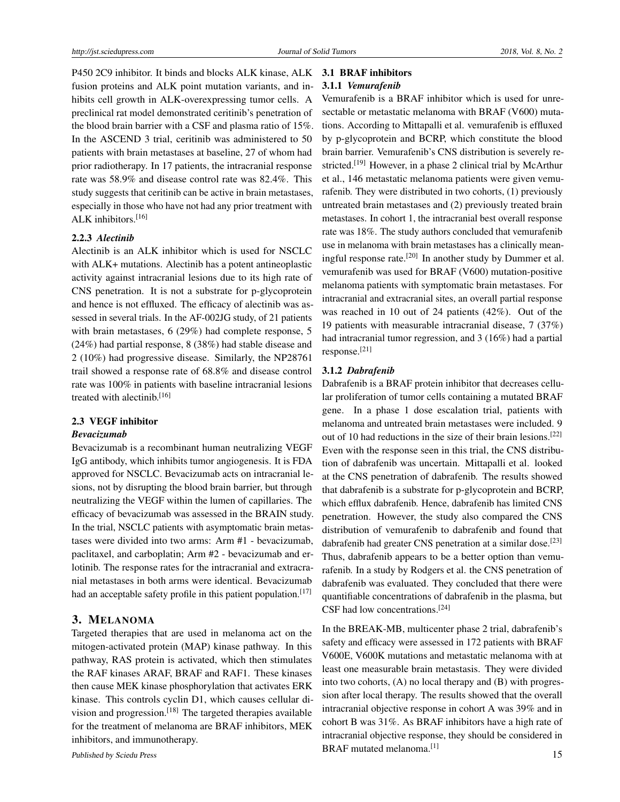P450 2C9 inhibitor. It binds and blocks ALK kinase, ALK fusion proteins and ALK point mutation variants, and inhibits cell growth in ALK-overexpressing tumor cells. A preclinical rat model demonstrated ceritinib's penetration of the blood brain barrier with a CSF and plasma ratio of 15%. In the ASCEND 3 trial, ceritinib was administered to 50 patients with brain metastases at baseline, 27 of whom had prior radiotherapy. In 17 patients, the intracranial response rate was 58.9% and disease control rate was 82.4%. This study suggests that ceritinib can be active in brain metastases, especially in those who have not had any prior treatment with ALK inhibitors.[\[16\]](#page-6-9)

#### 2.2.3 *Alectinib*

Alectinib is an ALK inhibitor which is used for NSCLC with ALK+ mutations. Alectinib has a potent antineoplastic activity against intracranial lesions due to its high rate of CNS penetration. It is not a substrate for p-glycoprotein and hence is not effluxed. The efficacy of alectinib was assessed in several trials. In the AF-002JG study, of 21 patients with brain metastases, 6 (29%) had complete response, 5 (24%) had partial response, 8 (38%) had stable disease and 2 (10%) had progressive disease. Similarly, the NP28761 trail showed a response rate of 68.8% and disease control rate was 100% in patients with baseline intracranial lesions treated with alectinib.<sup>[\[16\]](#page-6-9)</sup>

#### 2.3 VEGF inhibitor

#### *Bevacizumab*

Bevacizumab is a recombinant human neutralizing VEGF IgG antibody, which inhibits tumor angiogenesis. It is FDA approved for NSCLC. Bevacizumab acts on intracranial lesions, not by disrupting the blood brain barrier, but through neutralizing the VEGF within the lumen of capillaries. The efficacy of bevacizumab was assessed in the BRAIN study. In the trial, NSCLC patients with asymptomatic brain metastases were divided into two arms: Arm #1 - bevacizumab, paclitaxel, and carboplatin; Arm #2 - bevacizumab and erlotinib. The response rates for the intracranial and extracranial metastases in both arms were identical. Bevacizumab had an acceptable safety profile in this patient population.<sup>[\[17\]](#page-6-10)</sup>

#### 3. MELANOMA

Targeted therapies that are used in melanoma act on the mitogen-activated protein (MAP) kinase pathway. In this pathway, RAS protein is activated, which then stimulates the RAF kinases ARAF, BRAF and RAF1. These kinases then cause MEK kinase phosphorylation that activates ERK kinase. This controls cyclin D1, which causes cellular division and progression.[\[18\]](#page-6-11) The targeted therapies available for the treatment of melanoma are BRAF inhibitors, MEK inhibitors, and immunotherapy.

#### 3.1 BRAF inhibitors 3.1.1 *Vemurafenib*

Vemurafenib is a BRAF inhibitor which is used for unresectable or metastatic melanoma with BRAF (V600) mutations. According to Mittapalli et al. vemurafenib is effluxed by p-glycoprotein and BCRP, which constitute the blood brain barrier. Vemurafenib's CNS distribution is severely re-stricted.<sup>[\[19\]](#page-6-12)</sup> However, in a phase 2 clinical trial by McArthur et al., 146 metastatic melanoma patients were given vemurafenib. They were distributed in two cohorts, (1) previously untreated brain metastases and (2) previously treated brain metastases. In cohort 1, the intracranial best overall response rate was 18%. The study authors concluded that vemurafenib use in melanoma with brain metastases has a clinically mean-ingful response rate.<sup>[\[20\]](#page-6-13)</sup> In another study by Dummer et al. vemurafenib was used for BRAF (V600) mutation-positive melanoma patients with symptomatic brain metastases. For intracranial and extracranial sites, an overall partial response was reached in 10 out of 24 patients (42%). Out of the 19 patients with measurable intracranial disease, 7 (37%) had intracranial tumor regression, and 3 (16%) had a partial response.[\[21\]](#page-6-14)

#### 3.1.2 *Dabrafenib*

Dabrafenib is a BRAF protein inhibitor that decreases cellular proliferation of tumor cells containing a mutated BRAF gene. In a phase 1 dose escalation trial, patients with melanoma and untreated brain metastases were included. 9 out of 10 had reductions in the size of their brain lesions.<sup>[\[22\]](#page-6-15)</sup> Even with the response seen in this trial, the CNS distribution of dabrafenib was uncertain. Mittapalli et al. looked at the CNS penetration of dabrafenib. The results showed that dabrafenib is a substrate for p-glycoprotein and BCRP, which efflux dabrafenib. Hence, dabrafenib has limited CNS penetration. However, the study also compared the CNS distribution of vemurafenib to dabrafenib and found that dabrafenib had greater CNS penetration at a similar dose.[\[23\]](#page-6-16) Thus, dabrafenib appears to be a better option than vemurafenib. In a study by Rodgers et al. the CNS penetration of dabrafenib was evaluated. They concluded that there were quantifiable concentrations of dabrafenib in the plasma, but CSF had low concentrations.<sup>[\[24\]](#page-6-17)</sup>

In the BREAK-MB, multicenter phase 2 trial, dabrafenib's safety and efficacy were assessed in 172 patients with BRAF V600E, V600K mutations and metastatic melanoma with at least one measurable brain metastasis. They were divided into two cohorts, (A) no local therapy and (B) with progression after local therapy. The results showed that the overall intracranial objective response in cohort A was 39% and in cohort B was 31%. As BRAF inhibitors have a high rate of intracranial objective response, they should be considered in BRAF mutated melanoma.[\[1\]](#page-5-0) Published by Sciedu Press 25 and 200 and 200 and 200 and 200 and 200 and 200 and 200 and 200 and 200 and 200 and 200 and 200 and 200 and 200 and 200 and 200 and 200 and 200 and 200 and 200 and 200 and 200 and 200 and 200 a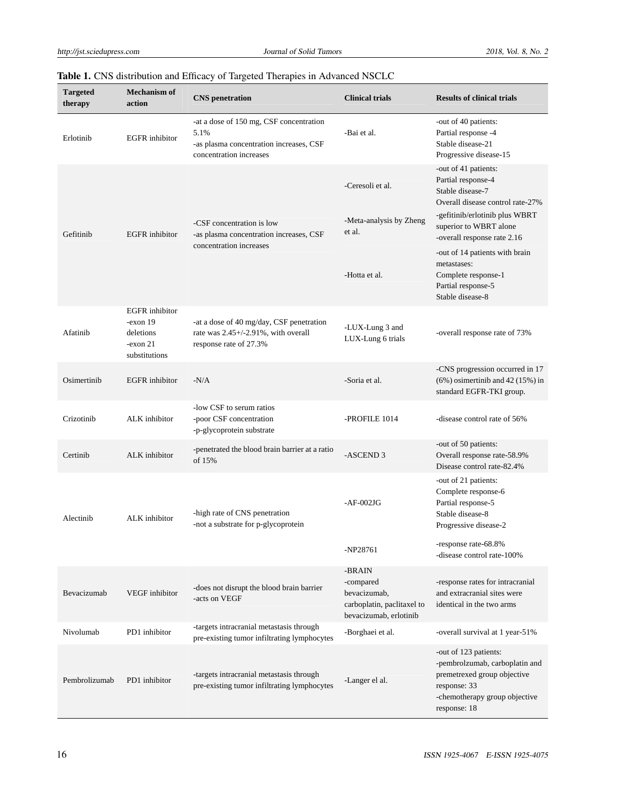|  |  |  | Table 1. CNS distribution and Efficacy of Targeted Therapies in Advanced NSCLC |  |  |  |  |  |  |  |  |  |  |
|--|--|--|--------------------------------------------------------------------------------|--|--|--|--|--|--|--|--|--|--|
|--|--|--|--------------------------------------------------------------------------------|--|--|--|--|--|--|--|--|--|--|

| <b>Targeted</b><br>therapy | <b>Mechanism of</b><br>action                                                   | <b>CNS</b> penetration                                                                                                | <b>Clinical trials</b>                                                                      | <b>Results of clinical trials</b>                                                                                                                       |
|----------------------------|---------------------------------------------------------------------------------|-----------------------------------------------------------------------------------------------------------------------|---------------------------------------------------------------------------------------------|---------------------------------------------------------------------------------------------------------------------------------------------------------|
| Erlotinib                  | <b>EGFR</b> inhibitor                                                           | -at a dose of 150 mg, CSF concentration<br>5.1%<br>-as plasma concentration increases, CSF<br>concentration increases | -Bai et al.                                                                                 | -out of 40 patients:<br>Partial response -4<br>Stable disease-21<br>Progressive disease-15                                                              |
|                            |                                                                                 |                                                                                                                       | -Ceresoli et al.                                                                            | -out of 41 patients:<br>Partial response-4<br>Stable disease-7<br>Overall disease control rate-27%                                                      |
| Gefitinib                  | <b>EGFR</b> inhibitor                                                           | -CSF concentration is low<br>-as plasma concentration increases, CSF                                                  | -Meta-analysis by Zheng<br>et al.                                                           | -gefitinib/erlotinib plus WBRT<br>superior to WBRT alone<br>-overall response rate 2.16                                                                 |
|                            |                                                                                 | concentration increases                                                                                               | -Hotta et al.                                                                               | -out of 14 patients with brain<br>metastases:<br>Complete response-1<br>Partial response-5<br>Stable disease-8                                          |
| Afatinib                   | <b>EGFR</b> inhibitor<br>$-exon 19$<br>deletions<br>$-exon 21$<br>substitutions | -at a dose of 40 mg/day, CSF penetration<br>rate was $2.45+/2.91\%$ , with overall<br>response rate of 27.3%          | -LUX-Lung 3 and<br>LUX-Lung 6 trials                                                        | -overall response rate of 73%                                                                                                                           |
| Osimertinib                | <b>EGFR</b> inhibitor                                                           | $-N/A$                                                                                                                | -Soria et al.                                                                               | -CNS progression occurred in 17<br>$(6\%)$ osimertinib and 42 (15%) in<br>standard EGFR-TKI group.                                                      |
| Crizotinib                 | ALK inhibitor                                                                   | -low CSF to serum ratios<br>-poor CSF concentration<br>-p-glycoprotein substrate                                      | -PROFILE 1014                                                                               | -disease control rate of 56%                                                                                                                            |
| Certinib                   | ALK inhibitor                                                                   | -penetrated the blood brain barrier at a ratio<br>of 15%                                                              | -ASCEND <sub>3</sub>                                                                        | -out of 50 patients:<br>Overall response rate-58.9%<br>Disease control rate-82.4%                                                                       |
| Alectinib                  | ALK inhibitor                                                                   | -high rate of CNS penetration<br>-not a substrate for p-glycoprotein                                                  | $-AF-002JG$                                                                                 | -out of 21 patients:<br>Complete response-6<br>Partial response-5<br>Stable disease-8<br>Progressive disease-2                                          |
|                            |                                                                                 |                                                                                                                       | -NP28761                                                                                    | -response rate-68.8%<br>-disease control rate-100%                                                                                                      |
| Bevacizumab                | VEGF inhibitor                                                                  | -does not disrupt the blood brain barrier<br>-acts on VEGF                                                            | -BRAIN<br>-compared<br>bevacizumab,<br>carboplatin, paclitaxel to<br>bevacizumab, erlotinib | -response rates for intracranial<br>and extracranial sites were<br>identical in the two arms                                                            |
| Nivolumab                  | PD1 inhibitor                                                                   | -targets intracranial metastasis through<br>pre-existing tumor infiltrating lymphocytes                               | -Borghaei et al.                                                                            | -overall survival at 1 year-51%                                                                                                                         |
| Pembrolizumab              | PD1 inhibitor                                                                   | -targets intracranial metastasis through<br>pre-existing tumor infiltrating lymphocytes                               | -Langer el al.                                                                              | -out of 123 patients:<br>-pembrolzumab, carboplatin and<br>premetrexed group objective<br>response: 33<br>-chemotherapy group objective<br>response: 18 |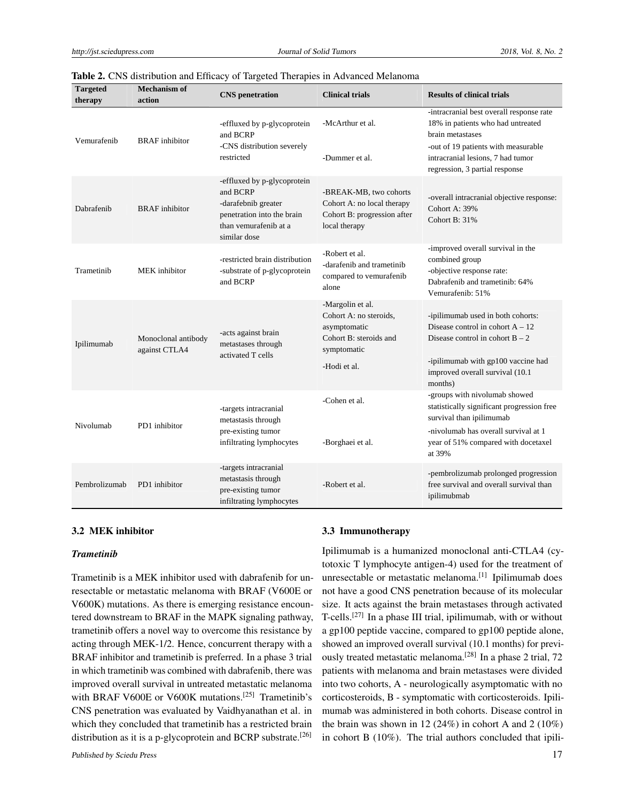| <b>Targeted</b><br>therapy | <b>Mechanism of</b><br>action        | <b>CNS</b> penetration                                                                                                                | <b>Clinical trials</b>                                                                                              | <b>Results of clinical trials</b>                                                                                                                                                                               |
|----------------------------|--------------------------------------|---------------------------------------------------------------------------------------------------------------------------------------|---------------------------------------------------------------------------------------------------------------------|-----------------------------------------------------------------------------------------------------------------------------------------------------------------------------------------------------------------|
| Vemurafenib                | <b>BRAF</b> inhibitor                | -effluxed by p-glycoprotein<br>and BCRP<br>-CNS distribution severely<br>restricted                                                   | -McArthur et al.<br>-Dummer et al.                                                                                  | -intracranial best overall response rate<br>18% in patients who had untreated<br>brain metastases<br>-out of 19 patients with measurable<br>intracranial lesions, 7 had tumor<br>regression, 3 partial response |
| Dabrafenib                 | <b>BRAF</b> inhibitor                | -effluxed by p-glycoprotein<br>and BCRP<br>-darafebnib greater<br>penetration into the brain<br>than vemurafenib at a<br>similar dose | -BREAK-MB, two cohorts<br>Cohort A: no local therapy<br>Cohort B: progression after<br>local therapy                | -overall intracranial objective response:<br>Cohort A: 39%<br>Cohort B: 31%                                                                                                                                     |
| Trametinib                 | <b>MEK</b> inhibitor                 | -restricted brain distribution<br>-substrate of p-glycoprotein<br>and BCRP                                                            | -Robert et al.<br>-darafenib and trametinib<br>compared to vemurafenib<br>alone                                     | -improved overall survival in the<br>combined group<br>-objective response rate:<br>Dabrafenib and trametinib: 64%<br>Vemurafenib: 51%                                                                          |
| Ipilimumab                 | Monoclonal antibody<br>against CTLA4 | -acts against brain<br>metastases through<br>activated T cells                                                                        | -Margolin et al.<br>Cohort A: no steroids,<br>asymptomatic<br>Cohort B: steroids and<br>symptomatic<br>-Hodi et al. | -ipilimumab used in both cohorts:<br>Disease control in cohort $A - 12$<br>Disease control in cohort $B - 2$<br>-ipilimumab with gp100 vaccine had<br>improved overall survival (10.1<br>months)                |
| Nivolumab                  | PD1 inhibitor                        | -targets intracranial<br>metastasis through<br>pre-existing tumor<br>infiltrating lymphocytes                                         | -Cohen et al.<br>-Borghaei et al.                                                                                   | -groups with nivolumab showed<br>statistically significant progression free<br>survival than ipilimumab<br>-nivolumab has overall survival at 1<br>year of 51% compared with docetaxel<br>at 39%                |
| Pembrolizumab              | PD1 inhibitor                        | -targets intracranial<br>metastasis through<br>pre-existing tumor<br>infiltrating lymphocytes                                         | -Robert et al.                                                                                                      | -pembrolizumab prolonged progression<br>free survival and overall survival than<br>ipilimubmab                                                                                                                  |

| Table 2. CNS distribution and Efficacy of Targeted Therapies in Advanced Melanoma |  |
|-----------------------------------------------------------------------------------|--|
|-----------------------------------------------------------------------------------|--|

#### 3.2 MEK inhibitor

#### *Trametinib*

Trametinib is a MEK inhibitor used with dabrafenib for unresectable or metastatic melanoma with BRAF (V600E or V600K) mutations. As there is emerging resistance encountered downstream to BRAF in the MAPK signaling pathway, trametinib offers a novel way to overcome this resistance by acting through MEK-1/2. Hence, concurrent therapy with a BRAF inhibitor and trametinib is preferred. In a phase 3 trial in which trametinib was combined with dabrafenib, there was improved overall survival in untreated metastatic melanoma with BRAF V600E or V600K mutations.<sup>[\[25\]](#page-6-18)</sup> Trametinib's CNS penetration was evaluated by Vaidhyanathan et al. in which they concluded that trametinib has a restricted brain distribution as it is a p-glycoprotein and BCRP substrate.<sup>[\[26\]](#page-6-19)</sup>

#### 3.3 Immunotherapy

Ipilimumab is a humanized monoclonal anti-CTLA4 (cytotoxic T lymphocyte antigen-4) used for the treatment of unresectable or metastatic melanoma.<sup>[\[1\]](#page-5-0)</sup> Ipilimumab does not have a good CNS penetration because of its molecular size. It acts against the brain metastases through activated T-cells.<sup>[\[27\]](#page-6-20)</sup> In a phase III trial, ipilimumab, with or without a gp100 peptide vaccine, compared to gp100 peptide alone, showed an improved overall survival (10.1 months) for previ-ously treated metastatic melanoma.<sup>[\[28\]](#page-6-21)</sup> In a phase 2 trial, 72 patients with melanoma and brain metastases were divided into two cohorts, A - neurologically asymptomatic with no corticosteroids, B - symptomatic with corticosteroids. Ipilimumab was administered in both cohorts. Disease control in the brain was shown in 12 (24%) in cohort A and  $2(10\%)$ in cohort B (10%). The trial authors concluded that ipili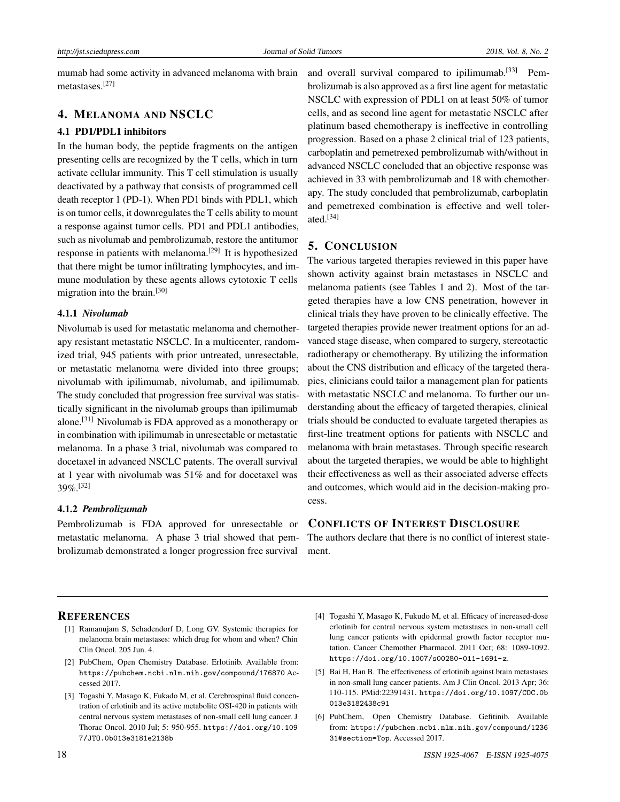mumab had some activity in advanced melanoma with brain metastases.[\[27\]](#page-6-20)

# 4. MELANOMA AND NSCLC

#### 4.1 PD1/PDL1 inhibitors

In the human body, the peptide fragments on the antigen presenting cells are recognized by the T cells, which in turn activate cellular immunity. This T cell stimulation is usually deactivated by a pathway that consists of programmed cell death receptor 1 (PD-1). When PD1 binds with PDL1, which is on tumor cells, it downregulates the T cells ability to mount a response against tumor cells. PD1 and PDL1 antibodies, such as nivolumab and pembrolizumab, restore the antitumor response in patients with melanoma.<sup>[\[29\]](#page-6-22)</sup> It is hypothesized that there might be tumor infiltrating lymphocytes, and immune modulation by these agents allows cytotoxic T cells migration into the brain.[\[30\]](#page-6-23)

#### 4.1.1 *Nivolumab*

Nivolumab is used for metastatic melanoma and chemotherapy resistant metastatic NSCLC. In a multicenter, randomized trial, 945 patients with prior untreated, unresectable, or metastatic melanoma were divided into three groups; nivolumab with ipilimumab, nivolumab, and ipilimumab. The study concluded that progression free survival was statistically significant in the nivolumab groups than ipilimumab alone.[\[31\]](#page-6-24) Nivolumab is FDA approved as a monotherapy or in combination with ipilimumab in unresectable or metastatic melanoma. In a phase 3 trial, nivolumab was compared to docetaxel in advanced NSCLC patents. The overall survival at 1 year with nivolumab was 51% and for docetaxel was 39%.[\[32\]](#page-6-25)

#### 4.1.2 *Pembrolizumab*

Pembrolizumab is FDA approved for unresectable or metastatic melanoma. A phase 3 trial showed that pembrolizumab demonstrated a longer progression free survival

and overall survival compared to ipilimumab.<sup>[\[33\]](#page-6-26)</sup> Pembrolizumab is also approved as a first line agent for metastatic NSCLC with expression of PDL1 on at least 50% of tumor cells, and as second line agent for metastatic NSCLC after platinum based chemotherapy is ineffective in controlling progression. Based on a phase 2 clinical trial of 123 patients, carboplatin and pemetrexed pembrolizumab with/without in advanced NSCLC concluded that an objective response was achieved in 33 with pembrolizumab and 18 with chemotherapy. The study concluded that pembrolizumab, carboplatin and pemetrexed combination is effective and well tolerated.[\[34\]](#page-6-27)

# 5. CONCLUSION

The various targeted therapies reviewed in this paper have shown activity against brain metastases in NSCLC and melanoma patients (see Tables 1 and 2). Most of the targeted therapies have a low CNS penetration, however in clinical trials they have proven to be clinically effective. The targeted therapies provide newer treatment options for an advanced stage disease, when compared to surgery, stereotactic radiotherapy or chemotherapy. By utilizing the information about the CNS distribution and efficacy of the targeted therapies, clinicians could tailor a management plan for patients with metastatic NSCLC and melanoma. To further our understanding about the efficacy of targeted therapies, clinical trials should be conducted to evaluate targeted therapies as first-line treatment options for patients with NSCLC and melanoma with brain metastases. Through specific research about the targeted therapies, we would be able to highlight their effectiveness as well as their associated adverse effects and outcomes, which would aid in the decision-making process.

# CONFLICTS OF INTEREST DISCLOSURE

The authors declare that there is no conflict of interest statement.

#### **REFERENCES**

- <span id="page-5-0"></span>[1] Ramanujam S, Schadendorf D, Long GV. Systemic therapies for melanoma brain metastases: which drug for whom and when? Chin Clin Oncol. 205 Jun. 4.
- <span id="page-5-1"></span>[2] PubChem, Open Chemistry Database. Erlotinib. Available from: <https://pubchem.ncbi.nlm.nih.gov/compound/176870> Accessed 2017.
- <span id="page-5-2"></span>[3] Togashi Y, Masago K, Fukado M, et al. Cerebrospinal fluid concentration of erlotinib and its active metabolite OSI-420 in patients with central nervous system metastases of non-small cell lung cancer. J Thorac Oncol. 2010 Jul; 5: 950-955. [https://doi.org/10.109](https://doi.org/10.1097/JTO.0b013e3181e2138b) [7/JTO.0b013e3181e2138b](https://doi.org/10.1097/JTO.0b013e3181e2138b)
- <span id="page-5-3"></span>[4] Togashi Y, Masago K, Fukudo M, et al. Efficacy of increased-dose erlotinib for central nervous system metastases in non-small cell lung cancer patients with epidermal growth factor receptor mutation. Cancer Chemother Pharmacol. 2011 Oct; 68: 1089-1092. <https://doi.org/10.1007/s00280-011-1691-z>.
- <span id="page-5-4"></span>[5] Bai H, Han B. The effectiveness of erlotinib against brain metastases in non-small lung cancer patients. Am J Clin Oncol. 2013 Apr; 36: 110-115. PMid:22391431. [https://doi.org/10.1097/COC.0b](https://doi.org/10.1097/COC.0b013e3182438c91) [013e3182438c91](https://doi.org/10.1097/COC.0b013e3182438c91)
- <span id="page-5-5"></span>[6] PubChem, Open Chemistry Database. Gefitinib. Available from: [https://pubchem.ncbi.nlm.nih.gov/compound/1236](https://pubchem.ncbi.nlm.nih.gov/compound/123631#section=Top) [31#section=Top](https://pubchem.ncbi.nlm.nih.gov/compound/123631#section=Top). Accessed 2017.